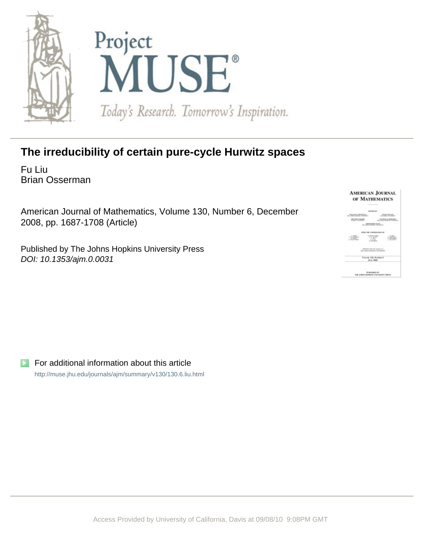



## **The irreducibility of certain pure-cycle Hurwitz spaces**

Fu Liu Brian Osserman

American Journal of Mathematics, Volume 130, Number 6, December 2008, pp. 1687-1708 (Article)

Published by The Johns Hopkins University Press DOI: 10.1353/ajm.0.0031



For additional information about this article <http://muse.jhu.edu/journals/ajm/summary/v130/130.6.liu.html>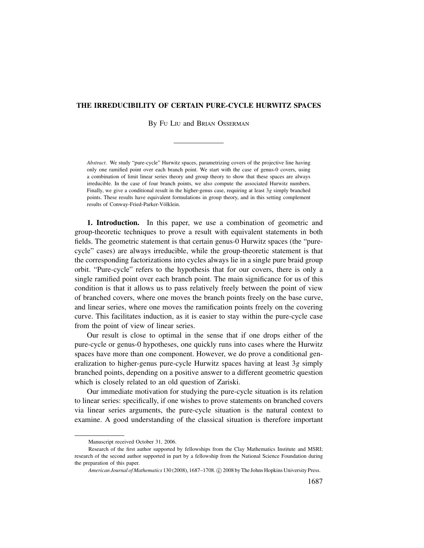## **THE IRREDUCIBILITY OF CERTAIN PURE-CYCLE HURWITZ SPACES**

By FU LIU and BRIAN OSSERMAN

*Abstract*. We study "pure-cycle" Hurwitz spaces, parametrizing covers of the projective line having only one ramified point over each branch point. We start with the case of genus-0 covers, using a combination of limit linear series theory and group theory to show that these spaces are always irreducible. In the case of four branch points, we also compute the associated Hurwitz numbers. Finally, we give a conditional result in the higher-genus case, requiring at least 3*g* simply branched points. These results have equivalent formulations in group theory, and in this setting complement results of Conway-Fried-Parker-Völklein.

**1. Introduction.** In this paper, we use a combination of geometric and group-theoretic techniques to prove a result with equivalent statements in both fields. The geometric statement is that certain genus-0 Hurwitz spaces (the "purecycle" cases) are always irreducible, while the group-theoretic statement is that the corresponding factorizations into cycles always lie in a single pure braid group orbit. "Pure-cycle" refers to the hypothesis that for our covers, there is only a single ramified point over each branch point. The main significance for us of this condition is that it allows us to pass relatively freely between the point of view of branched covers, where one moves the branch points freely on the base curve, and linear series, where one moves the ramification points freely on the covering curve. This facilitates induction, as it is easier to stay within the pure-cycle case from the point of view of linear series.

Our result is close to optimal in the sense that if one drops either of the pure-cycle or genus-0 hypotheses, one quickly runs into cases where the Hurwitz spaces have more than one component. However, we do prove a conditional generalization to higher-genus pure-cycle Hurwitz spaces having at least 3*g* simply branched points, depending on a positive answer to a different geometric question which is closely related to an old question of Zariski.

Our immediate motivation for studying the pure-cycle situation is its relation to linear series: specifically, if one wishes to prove statements on branched covers via linear series arguments, the pure-cycle situation is the natural context to examine. A good understanding of the classical situation is therefore important

Manuscript received October 31, 2006.

Research of the first author supported by fellowships from the Clay Mathematics Institute and MSRI; research of the second author supported in part by a fellowship from the National Science Foundation during the preparation of this paper.

*American Journal of Mathematics* 130 (2008), 1687–1708.c 2008 by The Johns Hopkins University Press.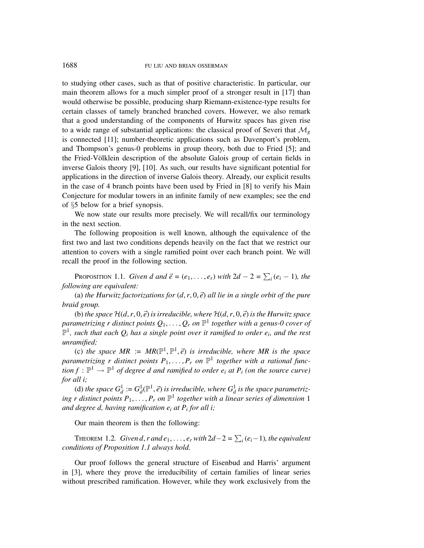to studying other cases, such as that of positive characteristic. In particular, our main theorem allows for a much simpler proof of a stronger result in [17] than would otherwise be possible, producing sharp Riemann-existence-type results for certain classes of tamely branched branched covers. However, we also remark that a good understanding of the components of Hurwitz spaces has given rise to a wide range of substantial applications: the classical proof of Severi that  $\mathcal{M}_{\varrho}$ is connected [11]; number-theoretic applications such as Davenport's problem, and Thompson's genus-0 problems in group theory, both due to Fried [5]; and the Fried-Völklein description of the absolute Galois group of certain fields in inverse Galois theory [9], [10]. As such, our results have significant potential for applications in the direction of inverse Galois theory. Already, our explicit results in the case of 4 branch points have been used by Fried in [8] to verify his Main Conjecture for modular towers in an infinite family of new examples; see the end of §5 below for a brief synopsis.

We now state our results more precisely. We will recall/fix our terminology in the next section.

The following proposition is well known, although the equivalence of the first two and last two conditions depends heavily on the fact that we restrict our attention to covers with a single ramified point over each branch point. We will recall the proof in the following section.

PROPOSITION 1.1*.* Given  $d$  and  $\vec{e} = (e_1, \ldots, e_r)$  with  $2d - 2 = \sum_i (e_i - 1)$ , the *following are equivalent:*

(a) *the Hurwitz factorizations for* (*d*,*r*, 0,*e*) *all lie in a single orbit of the pure braid group.*

(b) *the space* H(*d*,*r*, 0,*e*) *is irreducible, where* H(*d*,*r*, 0,*e*) *is the Hurwitz space parametrizing r distinct points*  $Q_1, \ldots, Q_r$  *on*  $\mathbb{P}^1$  *together with a genus-0 cover of*  $\mathbb{P}^1$ , such that each  $Q_i$  has a single point over it ramified to order  $e_i$ , and the rest *unramified;*

(c) *the space MR* :=  $MR(\mathbb{P}^1, \mathbb{P}^1, \vec{e})$  *is irreducible, where MR is the space parametrizing r distinct points*  $P_1, \ldots, P_r$  *on*  $\mathbb{P}^1$  *together with a rational function*  $f: \mathbb{P}^1 \to \mathbb{P}^1$  *of degree d and ramified to order e<sub>i</sub> at P<sub>i</sub> (on the source curve) for all i;*

(d) the space  $G_d^1 := G_d^1(\mathbb{P}^1, \vec{e})$  is irreducible, where  $G_d^1$  is the space parametriz*ing r distinct points*  $P_1, \ldots, P_r$  *on*  $\mathbb{P}^1$  *together with a linear series of dimension* 1 *and degree d, having ramification ei at Pi for all i;*

Our main theorem is then the following:

THEOREM 1.2. *Given d, r and e*<sub>1</sub>, ..., *e<sub>r</sub>* with  $2d-2 = \sum_i (e_i-1)$ , the equivalent *conditions of Proposition 1.1 always hold.*

Our proof follows the general structure of Eisenbud and Harris' argument in [3], where they prove the irreducibility of certain families of linear series without prescribed ramification. However, while they work exclusively from the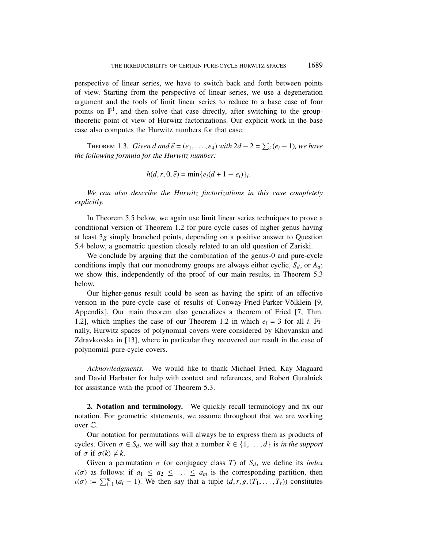perspective of linear series, we have to switch back and forth between points of view. Starting from the perspective of linear series, we use a degeneration argument and the tools of limit linear series to reduce to a base case of four points on  $\mathbb{P}^1$ , and then solve that case directly, after switching to the grouptheoretic point of view of Hurwitz factorizations. Our explicit work in the base case also computes the Hurwitz numbers for that case:

THEOREM 1.3*.* Given *d* and  $\vec{e}$  = ( $e_1, \ldots, e_4$ ) with 2*d* − 2 =  $\sum_i (e_i - 1)$ , we have *the following formula for the Hurwitz number:*

$$
h(d, r, 0, \vec{e}) = \min\{e_i(d + 1 - e_i)\}_i.
$$

*We can also describe the Hurwitz factorizations in this case completely explicitly.*

In Theorem 5.5 below, we again use limit linear series techniques to prove a conditional version of Theorem 1.2 for pure-cycle cases of higher genus having at least 3*g* simply branched points, depending on a positive answer to Question 5.4 below, a geometric question closely related to an old question of Zariski.

We conclude by arguing that the combination of the genus-0 and pure-cycle conditions imply that our monodromy groups are always either cyclic,  $S_d$ , or  $A_d$ ; we show this, independently of the proof of our main results, in Theorem 5.3 below.

Our higher-genus result could be seen as having the spirit of an effective version in the pure-cycle case of results of Conway-Fried-Parker-Völklein [9, Appendix]. Our main theorem also generalizes a theorem of Fried [7, Thm. 1.2], which implies the case of our Theorem 1.2 in which  $e_i = 3$  for all *i*. Finally, Hurwitz spaces of polynomial covers were considered by Khovanskii and Zdravkovska in [13], where in particular they recovered our result in the case of polynomial pure-cycle covers.

*Acknowledgments.* We would like to thank Michael Fried, Kay Magaard and David Harbater for help with context and references, and Robert Guralnick for assistance with the proof of Theorem 5.3.

**2. Notation and terminology.** We quickly recall terminology and fix our notation. For geometric statements, we assume throughout that we are working over C.

Our notation for permutations will always be to express them as products of cycles. Given  $\sigma \in S_d$ , we will say that a number  $k \in \{1, ..., d\}$  is *in the support* of  $\sigma$  if  $\sigma(k) \neq k$ .

Given a permutation  $\sigma$  (or conjugacy class *T*) of  $S_d$ , we define its *index*  $u(\sigma)$  as follows: if  $a_1 \le a_2 \le \ldots \le a_m$  is the corresponding partition, then  $u(\sigma) := \sum_{i=1}^{m} (a_i - 1)$ . We then say that a tuple  $(d, r, g, (T_1, \ldots, T_r))$  constitutes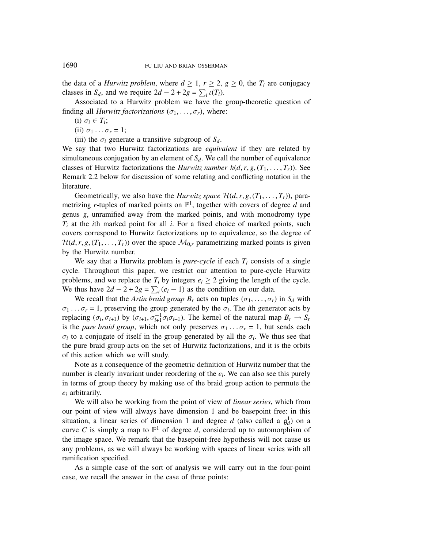the data of a *Hurwitz problem*, where  $d \geq 1$ ,  $r \geq 2$ ,  $g \geq 0$ , the  $T_i$  are conjugacy classes in *S<sub>d</sub>*, and we require  $2d - 2 + 2g = \sum_i \iota(T_i)$ .

Associated to a Hurwitz problem we have the group-theoretic question of finding all *Hurwitz factorizations*  $(\sigma_1, \ldots, \sigma_r)$ , where:

(i)  $\sigma_i \in T_i$ ;

(ii)  $\sigma_1 \ldots \sigma_r = 1$ ;

(iii) the  $\sigma_i$  generate a transitive subgroup of  $S_d$ .

We say that two Hurwitz factorizations are *equivalent* if they are related by simultaneous conjugation by an element of  $S_d$ . We call the number of equivalence classes of Hurwitz factorizations the *Hurwitz number*  $h(d, r, g, (T_1, \ldots, T_r))$ . See Remark 2.2 below for discussion of some relating and conflicting notation in the literature.

Geometrically, we also have the *Hurwitz space*  $\mathcal{H}(d, r, g, (T_1, \ldots, T_r))$ , parametrizing *r*-tuples of marked points on  $\mathbb{P}^1$ , together with covers of degree *d* and genus *g*, unramified away from the marked points, and with monodromy type *Ti* at the *i*th marked point for all *i*. For a fixed choice of marked points, such covers correspond to Hurwitz factorizations up to equivalence, so the degree of  $H(d, r, g, (T_1, \ldots, T_r))$  over the space  $\mathcal{M}_{0,r}$  parametrizing marked points is given by the Hurwitz number.

We say that a Hurwitz problem is *pure-cycle* if each  $T_i$  consists of a single cycle. Throughout this paper, we restrict our attention to pure-cycle Hurwitz problems, and we replace the  $T_i$  by integers  $e_i \geq 2$  giving the length of the cycle. We thus have  $2d - 2 + 2g = \sum_i (e_i - 1)$  as the condition on our data.

We recall that the *Artin braid group*  $B_r$  acts on tuples  $(\sigma_1, \ldots, \sigma_r)$  in  $S_d$  with  $\sigma_1 \ldots \sigma_r = 1$ , preserving the group generated by the  $\sigma_i$ . The *i*th generator acts by replacing  $(\sigma_i, \sigma_{i+1})$  by  $(\sigma_{i+1}, \sigma_{i+1}^{-1}\sigma_i\sigma_{i+1})$ . The kernel of the natural map  $B_r \to S_r$ is the *pure braid group*, which not only preserves  $\sigma_1 \ldots \sigma_r = 1$ , but sends each  $\sigma_i$  to a conjugate of itself in the group generated by all the  $\sigma_i$ . We thus see that the pure braid group acts on the set of Hurwitz factorizations, and it is the orbits of this action which we will study.

Note as a consequence of the geometric definition of Hurwitz number that the number is clearly invariant under reordering of the *ei*. We can also see this purely in terms of group theory by making use of the braid group action to permute the *ei* arbitrarily.

We will also be working from the point of view of *linear series*, which from our point of view will always have dimension 1 and be basepoint free: in this situation, a linear series of dimension 1 and degree d (also called a  $\mathfrak{g}^1_d$ ) on a curve *C* is simply a map to  $\mathbb{P}^1$  of degree *d*, considered up to automorphism of the image space. We remark that the basepoint-free hypothesis will not cause us any problems, as we will always be working with spaces of linear series with all ramification specified.

As a simple case of the sort of analysis we will carry out in the four-point case, we recall the answer in the case of three points: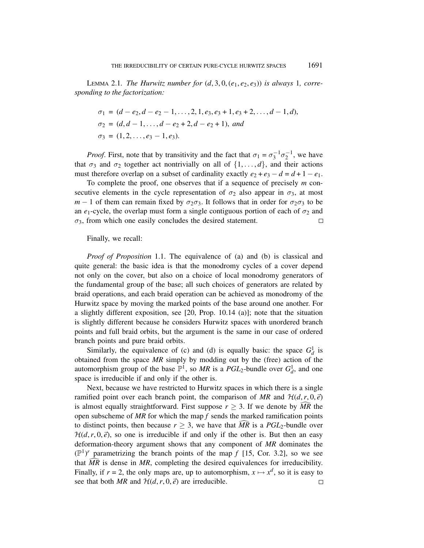LEMMA 2.1. The Hurwitz number for  $(d, 3, 0, (e_1, e_2, e_3))$  is always 1, corre*sponding to the factorization:*

$$
\sigma_1 = (d - e_2, d - e_2 - 1, \dots, 2, 1, e_3, e_3 + 1, e_3 + 2, \dots, d - 1, d),
$$
  
\n
$$
\sigma_2 = (d, d - 1, \dots, d - e_2 + 2, d - e_2 + 1), \text{ and}
$$
  
\n
$$
\sigma_3 = (1, 2, \dots, e_3 - 1, e_3).
$$

*Proof.* First, note that by transitivity and the fact that  $\sigma_1 = \sigma_3^{-1} \sigma_2^{-1}$ , we have that  $\sigma_3$  and  $\sigma_2$  together act nontrivially on all of  $\{1, \ldots, d\}$ , and their actions must therefore overlap on a subset of cardinality exactly  $e_2 + e_3 - d = d + 1 - e_1$ .

To complete the proof, one observes that if a sequence of precisely *m* consecutive elements in the cycle representation of  $\sigma_2$  also appear in  $\sigma_3$ , at most *m* − 1 of them can remain fixed by  $\sigma_2\sigma_3$ . It follows that in order for  $\sigma_2\sigma_3$  to be an  $e_1$ -cycle, the overlap must form a single contiguous portion of each of  $\sigma_2$  and  $\sigma_3$ , from which one easily concludes the desired statement.  $\Box$ 

Finally, we recall:

*Proof of Proposition* 1.1. The equivalence of (a) and (b) is classical and quite general: the basic idea is that the monodromy cycles of a cover depend not only on the cover, but also on a choice of local monodromy generators of the fundamental group of the base; all such choices of generators are related by braid operations, and each braid operation can be achieved as monodromy of the Hurwitz space by moving the marked points of the base around one another. For a slightly different exposition, see [20, Prop. 10.14 (a)]; note that the situation is slightly different because he considers Hurwitz spaces with unordered branch points and full braid orbits, but the argument is the same in our case of ordered branch points and pure braid orbits.

Similarly, the equivalence of (c) and (d) is equally basic: the space  $G_d^1$  is obtained from the space *MR* simply by modding out by the (free) action of the automorphism group of the base  $\mathbb{P}^1$ , so *MR* is a *PGL*<sub>2</sub>-bundle over  $G_d^1$ , and one space is irreducible if and only if the other is.

Next, because we have restricted to Hurwitz spaces in which there is a single ramified point over each branch point, the comparison of MR and  $H(d, r, 0, \vec{e})$ is almost equally straightforward. First suppose  $r \geq 3$ . If we denote by *MR* the open subscheme of *MR* for which the map *f* sends the marked ramification points to distinct points, then because  $r \geq 3$ , we have that *MR* is a *PGL*<sub>2</sub>-bundle over  $H(d, r, 0, \vec{e})$ , so one is irreducible if and only if the other is. But then an easy deformation-theory argument shows that any component of *MR* dominates the  $(\mathbb{P}^1)$ <sup>r</sup> parametrizing the branch points of the map *f* [15, Cor. 3.2], so we see that  $MR$  is dense in  $MR$ , completing the desired equivalences for irreducibility. Finally, if  $r = 2$ , the only maps are, up to automorphism,  $x \mapsto x^d$ , so it is easy to see that both *MR* and  $H(d, r, 0, \vec{e})$  are irreducible.  $\Box$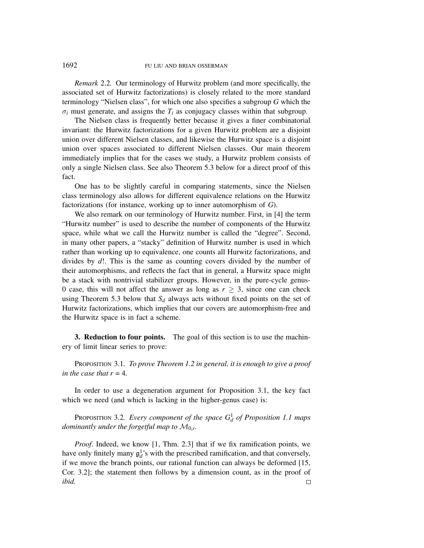*Remark* 2.2*.* Our terminology of Hurwitz problem (and more specifically, the associated set of Hurwitz factorizations) is closely related to the more standard terminology "Nielsen class", for which one also specifies a subgroup *G* which the  $\sigma_i$  must generate, and assigns the  $T_i$  as conjugacy classes within that subgroup.

The Nielsen class is frequently better because it gives a finer combinatorial invariant: the Hurwitz factorizations for a given Hurwitz problem are a disjoint union over different Nielsen classes, and likewise the Hurwitz space is a disjoint union over spaces associated to different Nielsen classes. Our main theorem immediately implies that for the cases we study, a Hurwitz problem consists of only a single Nielsen class. See also Theorem 5.3 below for a direct proof of this fact.

One has to be slightly careful in comparing statements, since the Nielsen class terminology also allows for different equivalence relations on the Hurwitz factorizations (for instance, working up to inner automorphism of *G*).

We also remark on our terminology of Hurwitz number. First, in [4] the term "Hurwitz number" is used to describe the number of components of the Hurwitz space, while what we call the Hurwitz number is called the "degree". Second, in many other papers, a "stacky" definition of Hurwitz number is used in which rather than working up to equivalence, one counts all Hurwitz factorizations, and divides by *d*!. This is the same as counting covers divided by the number of their automorphisms, and reflects the fact that in general, a Hurwitz space might be a stack with nontrivial stabilizer groups. However, in the pure-cycle genus-0 case, this will not affect the answer as long as  $r \geq 3$ , since one can check using Theorem 5.3 below that  $S_d$  always acts without fixed points on the set of Hurwitz factorizations, which implies that our covers are automorphism-free and the Hurwitz space is in fact a scheme.

**3. Reduction to four points.** The goal of this section is to use the machinery of limit linear series to prove:

PROPOSITION 3.1*. To prove Theorem 1.2 in general, it is enough to give a proof in the case that*  $r = 4$ *.* 

In order to use a degeneration argument for Proposition 3.1, the key fact which we need (and which is lacking in the higher-genus case) is:

PROPOSITION 3.2. Every component of the space  $G_d^1$  of Proposition 1.1 maps *dominantly under the forgetful map to*  $M_{0,r}$ .

*Proof*. Indeed, we know [1, Thm. 2.3] that if we fix ramification points, we have only finitely many  $\mathfrak{g}^1_d$ 's with the prescribed ramification, and that conversely, if we move the branch points, our rational function can always be deformed [15, Cor. 3.2]; the statement then follows by a dimension count, as in the proof of *ibid.* $\Box$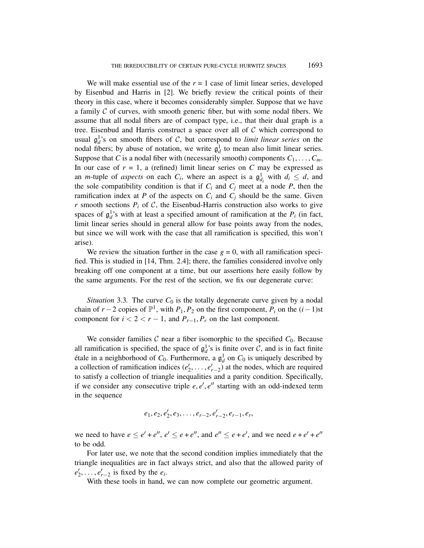We will make essential use of the  $r = 1$  case of limit linear series, developed by Eisenbud and Harris in [2]. We briefly review the critical points of their theory in this case, where it becomes considerably simpler. Suppose that we have a family  $C$  of curves, with smooth generic fiber, but with some nodal fibers. We assume that all nodal fibers are of compact type, i.e., that their dual graph is a tree. Eisenbud and Harris construct a space over all of  $C$  which correspond to usual  $\mathfrak{g}_d^1$ 's on smooth fibers of C, but correspond to *limit linear series* on the nodal fibers; by abuse of notation, we write  $\mathfrak{g}^1_d$  to mean also limit linear series. Suppose that *C* is a nodal fiber with (necessarily smooth) components  $C_1, \ldots, C_m$ . In our case of  $r = 1$ , a (refined) limit linear series on  $C$  may be expressed as an *m*-tuple of *aspects* on each  $C_i$ , where an aspect is a  $\mathfrak{g}^1_{d_i}$  with  $d_i \leq d$ , and the sole compatibility condition is that if  $C_i$  and  $C_j$  meet at a node  $P$ , then the ramification index at  $P$  of the aspects on  $C_i$  and  $C_j$  should be the same. Given  $r$  smooth sections  $P_i$  of  $C$ , the Eisenbud-Harris construction also works to give spaces of  $\mathfrak{g}_d^1$ 's with at least a specified amount of ramification at the  $P_i$  (in fact, limit linear series should in general allow for base points away from the nodes, but since we will work with the case that all ramification is specified, this won't arise).

We review the situation further in the case  $g = 0$ , with all ramification specified. This is studied in [14, Thm. 2.4]; there, the families considered involve only breaking off one component at a time, but our assertions here easily follow by the same arguments. For the rest of the section, we fix our degenerate curve:

*Situation* 3.3. The curve  $C_0$  is the totally degenerate curve given by a nodal chain of *r*−2 copies of  $\mathbb{P}^1$ , with  $P_1$ ,  $P_2$  on the first component,  $P_i$  on the  $(i-1)$ st component for  $i < 2 < r - 1$ , and  $P_{r-1}$ ,  $P_r$  on the last component.

We consider families  $C$  near a fiber isomorphic to the specified  $C_0$ . Because all ramification is specified, the space of  $\mathfrak{g}_d^1$ 's is finite over C, and is in fact finite étale in a neighborhood of  $C_0$ . Furthermore, a  $\mathfrak{g}^1_d$  on  $C_0$  is uniquely described by a collection of ramification indices  $(e'_1, \ldots, e'_{r-2})$  at the nodes, which are required to satisfy a collection of triangle inequalities and a parity condition. Specifically, if we consider any consecutive triple  $e, e', e''$  starting with an odd-indexed term in the sequence

$$
e_1, e_2, e'_2, e_3, \ldots, e_{r-2}, e'_{r-2}, e_{r-1}, e_r,
$$

we need to have  $e \leq e' + e''$ ,  $e' \leq e + e''$ , and  $e'' \leq e + e'$ , and we need  $e + e' + e''$ to be odd.

For later use, we note that the second condition implies immediately that the triangle inequalities are in fact always strict, and also that the allowed parity of  $e'_2, \ldots, e'_{r-2}$  is fixed by the  $e_i$ .

With these tools in hand, we can now complete our geometric argument.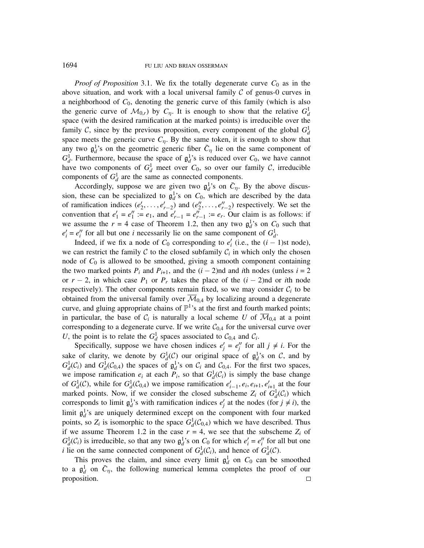*Proof of Proposition* 3.1. We fix the totally degenerate curve  $C_0$  as in the above situation, and work with a local universal family  $\mathcal C$  of genus-0 curves in a neighborhood of  $C_0$ , denoting the generic curve of this family (which is also the generic curve of  $\mathcal{M}_{0,r}$  by  $C_\eta$ . It is enough to show that the relative  $G_d^1$ space (with the desired ramification at the marked points) is irreducible over the family C, since by the previous proposition, every component of the global  $G_d^1$ space meets the generic curve  $C_n$ . By the same token, it is enough to show that any two  $\mathfrak{g}_d^1$ 's on the geometric generic fiber  $\bar{C}_\eta$  lie on the same component of  $G_d^1$ . Furthermore, because the space of  $\mathfrak{g}_d^1$ 's is reduced over  $C_0$ , we have cannot have two components of  $G_d^1$  meet over  $C_0$ , so over our family  $\mathcal{C}$ , irreducible components of  $G_d^1$  are the same as connected components.

Accordingly, suppose we are given two  $\mathfrak{g}_d^1$ 's on  $\bar{C}_\eta$ . By the above discussion, these can be specialized to  $\mathfrak{g}_d^1$ 's on  $C_0$ , which are described by the data of ramification indices  $(e'_2, \ldots, e'_{r-2})$  and  $(e''_2, \ldots, e''_{r-2})$  respectively. We set the convention that  $e'_1 = e''_1 := e_1$ , and  $e'_{r-1} = e''_{r-1} := e_r$ . Our claim is as follows: if we assume the  $r = 4$  case of Theorem 1.2, then any two  $\mathfrak{g}_d^1$ 's on  $C_0$  such that  $e'_{i} = e''_{i}$  for all but one *i* necessarily lie on the same component of  $G_d^1$ .

Indeed, if we fix a node of  $C_0$  corresponding to  $e'_i$  (i.e., the  $(i - 1)$ st node), we can restrict the family  $C$  to the closed subfamily  $C_i$  in which only the chosen node of  $C_0$  is allowed to be smoothed, giving a smooth component containing the two marked points  $P_i$  and  $P_{i+1}$ , and the  $(i-2)$ nd and *i*th nodes (unless  $i = 2$ or  $r - 2$ , in which case  $P_1$  or  $P_r$  takes the place of the  $(i - 2)$ nd or *i*th node respectively). The other components remain fixed, so we may consider  $C_i$  to be obtained from the universal family over  $\overline{\mathcal{M}}_{0,4}$  by localizing around a degenerate curve, and gluing appropriate chains of  $\mathbb{P}^1$ 's at the first and fourth marked points; in particular, the base of  $C_i$  is naturally a local scheme *U* of  $\overline{\mathcal{M}}_{0,4}$  at a point corresponding to a degenerate curve. If we write  $C_{0,4}$  for the universal curve over *U*, the point is to relate the  $G_d^1$  spaces associated to  $C_{0,4}$  and  $C_i$ .

Specifically, suppose we have chosen indices  $e'_j = e''_j$  for all  $j \neq i$ . For the sake of clarity, we denote by  $G_d^1(\mathcal{C})$  our original space of  $\mathfrak{g}_d^1$ 's on  $\mathcal{C}$ , and by  $G_d^1(\mathcal{C}_i)$  and  $G_d^1(\mathcal{C}_{0,4})$  the spaces of  $\mathfrak{g}_d^1$ 's on  $\mathcal{C}_i$  and  $\mathcal{C}_{0,4}$ . For the first two spaces, we impose ramification  $e_i$  at each  $P_i$ , so that  $G_d^1(\mathcal{C}_i)$  is simply the base change of  $G_d^1(\mathcal{C})$ , while for  $G_d^1(\mathcal{C}_{0,4})$  we impose ramification  $e'_{i-1}, e_i, e_{i+1}, e'_{i+1}$  at the four marked points. Now, if we consider the closed subscheme  $Z_i$  of  $G_d^1(\mathcal{C}_i)$  which corresponds to limit  $\mathfrak{g}_d^1$ 's with ramification indices  $e'_j$  at the nodes (for  $j \neq i$ ), the limit  $\mathfrak{g}_d^1$ 's are uniquely determined except on the component with four marked points, so  $Z_i$  is isomorphic to the space  $G_d^1(\mathcal{C}_{0,4})$  which we have described. Thus if we assume Theorem 1.2 in the case  $r = 4$ , we see that the subscheme  $Z_i$  of  $G_d^1(C_i)$  is irreducible, so that any two  $\mathfrak{g}_d^1$ 's on  $C_0$  for which  $e'_i = e''_i$  for all but one *i* lie on the same connected component of  $G_d^1(\mathcal{C}_i)$ , and hence of  $G_d^1(\mathcal{C})$ .

This proves the claim, and since every limit  $\mathfrak{g}^1_d$  on  $C_0$  can be smoothed to a  $\mathfrak{g}^1_d$  on  $\bar{C}_\eta$ , the following numerical lemma completes the proof of our proposition.口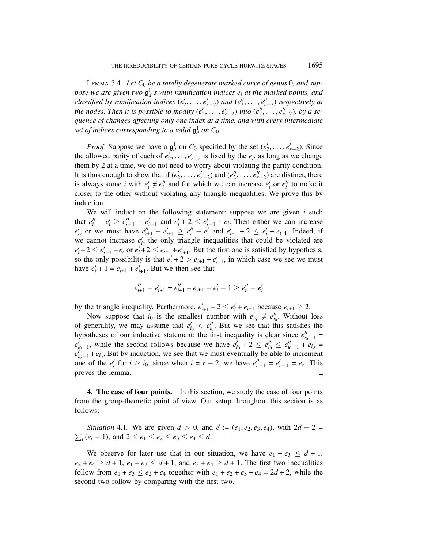LEMMA 3.4*. Let C*<sup>0</sup> *be a totally degenerate marked curve of genus* 0*, and sup*pose we are given two  $\mathfrak{g}^1_d$ 's with ramification indices  $e_i$  at the marked points, and *classified by ramification indices*  $(e'_1, \ldots, e'_{r-2})$  *and*  $(e''_2, \ldots, e''_{r-2})$  *respectively at the nodes. Then it is possible to modify*  $(e'_2, \ldots, e'_{r-2})$  *into*  $(e''_2, \ldots, e''_{r-2})$ *, by a sequence of changes affecting only one index at a time, and with every intermediate* set of indices corresponding to a valid  $\mathfrak{g}^1_d$  on  $C_0$ .

*Proof.* Suppose we have a  $\mathfrak{g}^1_d$  on  $C_0$  specified by the set  $(e'_2, \ldots, e'_{r-2})$ . Since the allowed parity of each of  $e'_1, \ldots, e'_{r-2}$  is fixed by the  $e_i$ , as long as we change them by 2 at a time, we do not need to worry about violating the parity condition. It is thus enough to show that if  $(e'_1, \ldots, e'_{r-2})$  and  $(e''_2, \ldots, e''_{r-2})$  are distinct, there is always some *i* with  $e'_i \neq e''_i$  and for which we can increase  $e'_i$  or  $e''_i$  to make it closer to the other without violating any triangle inequalities. We prove this by induction.

We will induct on the following statement: suppose we are given *i* such that  $e_i'' - e_i' \ge e_{i-1}'' - e_{i-1}'$  and  $e_i' + 2 \le e_{i-1}' + e_i$ . Then either we can increase *e*<sup>*i*</sup>, or we must have  $e_{i+1}'' - e_{i+1}' \ge e_i'' - e_i'$  and  $e_{i+1}' + 2 \le e_i' + e_{i+1}$ . Indeed, if we cannot increase  $e'_{i}$ , the only triangle inequalities that could be violated are  $e'_i + 2 \leq e'_{i-1} + e_i$  or  $e'_i + 2 \leq e_{i+1} + e'_{i+1}$ . But the first one is satisfied by hypothesis, so the only possibility is that  $e'_i + 2 > e_{i+1} + e'_{i+1}$ , in which case we see we must have  $e'_{i} + 1 = e_{i+1} + e'_{i+1}$ . But we then see that

$$
e''_{i+1} - e'_{i+1} = e''_{i+1} + e_{i+1} - e'_{i} - 1 \ge e''_{i} - e'_{i}
$$

by the triangle inequality. Furthermore,  $e'_{i+1} + 2 \le e'_{i} + e_{i+1}$  because  $e_{i+1} \ge 2$ .

Now suppose that  $i_0$  is the smallest number with  $e'_{i_0} \neq e''_{i_0}$ . Without loss of generality, we may assume that  $e'_{i_0} < e''_{i_0}$ . But we see that this satisfies the hypotheses of our inductive statement: the first inequality is clear since  $e''_{i_0-1}$  = *e*<sup>'</sup><sub>*i*</sub><sup>0</sup> − 1, while the second follows because we have  $e'_{i_0} + 2 \le e''_{i_0} \le e''_{i_0-1} + e_{i_0} =$  $e'_{i_0-1} + e_{i_0}$ . But by induction, we see that we must eventually be able to increment one of the  $e'_i$  for  $i \ge i_0$ , since when  $i = r - 2$ , we have  $e''_{r-1} = e'_{r-1} = e_r$ . This proves the lemma.  $\Box$ 

**4. The case of four points.** In this section, we study the case of four points from the group-theoretic point of view. Our setup throughout this section is as follows:

*Situation* 4.1. We are given  $d > 0$ , and  $\vec{e} := (e_1, e_2, e_3, e_4)$ , with  $2d - 2 =$  $\sum_i (e_i - 1)$ *, and 2 ≤*  $e_1$  *≤*  $e_2$  *≤*  $e_3$  *≤*  $e_4$  *≤ <i>d*.

We observe for later use that in our situation, we have  $e_1 + e_3 \leq d + 1$ ,  $e_2 + e_4 \ge d + 1$ ,  $e_1 + e_2 \le d + 1$ , and  $e_3 + e_4 \ge d + 1$ . The first two inequalities follow from  $e_1 + e_3 \le e_2 + e_4$  together with  $e_1 + e_2 + e_3 + e_4 = 2d + 2$ , while the second two follow by comparing with the first two.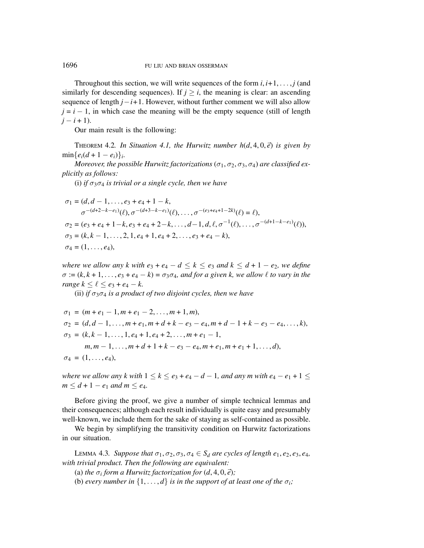Throughout this section, we will write sequences of the form  $i, i+1, \ldots, j$  (and similarly for descending sequences). If  $j \geq i$ , the meaning is clear: an ascending sequence of length *j*−*i*+1. However, without further comment we will also allow  $j = i - 1$ , in which case the meaning will be the empty sequence (still of length  $j - i + 1$ .

Our main result is the following:

THEOREM 4.2*. In Situation 4.1, the Hurwitz number h*(*d*, 4, 0,*e*) *is given by*  $\min\{e_i(d+1-e_i)\}_i$ .

*Moreover, the possible Hurwitz factorizations*  $(\sigma_1, \sigma_2, \sigma_3, \sigma_4)$  *are classified explicitly as follows:*

(i) *if*  $\sigma_3\sigma_4$  *is trivial or a single cycle, then we have* 

$$
\sigma_1 = (d, d - 1, \dots, e_3 + e_4 + 1 - k,
$$
  
\n
$$
\sigma^{-(d+2-k-e_1)}(\ell), \sigma^{-(d+3-k-e_1)}(\ell), \dots, \sigma^{-(e_3+e_4+1-2k)}(\ell) = \ell),
$$
  
\n
$$
\sigma_2 = (e_3 + e_4 + 1 - k, e_3 + e_4 + 2 - k, \dots, d - 1, d, \ell, \sigma^{-1}(\ell), \dots, \sigma^{-(d+1-k-e_1)}(\ell)),
$$
  
\n
$$
\sigma_3 = (k, k - 1, \dots, 2, 1, e_4 + 1, e_4 + 2, \dots, e_3 + e_4 - k),
$$
  
\n
$$
\sigma_4 = (1, \dots, e_4),
$$

*where we allow any k with e*<sub>3</sub> +  $e_4 - d \leq k \leq e_3$  *and*  $k \leq d + 1 - e_2$ *, we define*  $\sigma := (k, k+1, \ldots, e_3 + e_4 - k) = \sigma_3 \sigma_4$ , and for a given k, we allow  $\ell$  to vary in the *range*  $k \leq \ell \leq e_3 + e_4 - k$ .

(ii) *if*  $\sigma_3\sigma_4$  *is a product of two disjoint cycles, then we have* 

$$
\sigma_1 = (m + e_1 - 1, m + e_1 - 2, \dots, m + 1, m),
$$
  
\n
$$
\sigma_2 = (d, d - 1, \dots, m + e_1, m + d + k - e_3 - e_4, m + d - 1 + k - e_3 - e_4, \dots, k),
$$
  
\n
$$
\sigma_3 = (k, k - 1, \dots, 1, e_4 + 1, e_4 + 2, \dots, m + e_1 - 1,
$$
  
\n
$$
m, m - 1, \dots, m + d + 1 + k - e_3 - e_4, m + e_1, m + e_1 + 1, \dots, d),
$$
  
\n
$$
\sigma_4 = (1, \dots, e_4),
$$

*where we allow any k with*  $1 \leq k \leq e_3 + e_4 - d - 1$ *, and any m with*  $e_4 - e_1 + 1 \leq$ *m* ≤ *d* + 1 −  $e_1$  *and*  $m$  ≤  $e_4$ *.* 

Before giving the proof, we give a number of simple technical lemmas and their consequences; although each result individually is quite easy and presumably well-known, we include them for the sake of staying as self-contained as possible.

We begin by simplifying the transitivity condition on Hurwitz factorizations in our situation.

LEMMA 4.3*.* Suppose that  $\sigma_1, \sigma_2, \sigma_3, \sigma_4 \in S_d$  are cycles of length  $e_1, e_2, e_3, e_4$ , *with trivial product. Then the following are equivalent:*

- (a) *the*  $\sigma_i$  *form* a Hurwitz factorization for  $(d, 4, 0, \vec{e})$ ;
- (b) *every number in*  $\{1, \ldots, d\}$  *is in the support of at least one of the*  $\sigma_i$ ;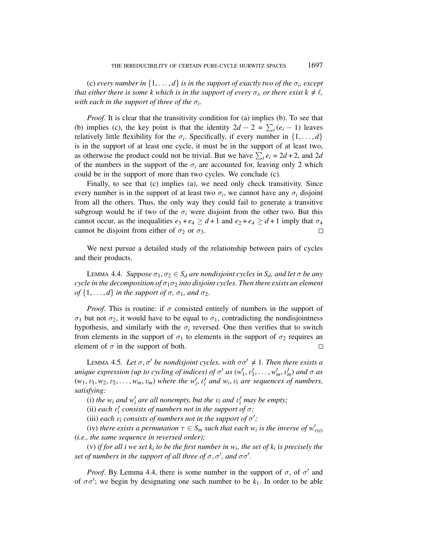(c) *every number in*  $\{1, \ldots, d\}$  *is in the support of exactly two of the*  $\sigma_i$ *, except that either there is some k which is in the support of every*  $\sigma_i$ , *or there exist*  $k \neq \ell$ , *with each in the support of three of the*  $\sigma_i$ .

*Proof.* It is clear that the transitivity condition for (a) implies (b). To see that (b) implies (c), the key point is that the identity  $2d - 2 = \sum_i (e_i - 1)$  leaves relatively little flexibility for the  $\sigma_i$ . Specifically, if every number in  $\{1, \ldots, d\}$ is in the support of at least one cycle, it must be in the support of at least two, as otherwise the product could not be trivial. But we have  $\sum_i e_i = 2d + 2$ , and 2*d* of the numbers in the support of the  $\sigma_i$  are accounted for, leaving only 2 which could be in the support of more than two cycles. We conclude (c).

Finally, to see that (c) implies (a), we need only check transitivity. Since every number is in the support of at least two  $\sigma_i$ , we cannot have any  $\sigma_i$  disjoint from all the others. Thus, the only way they could fail to generate a transitive subgroup would be if two of the  $\sigma_i$  were disjoint from the other two. But this cannot occur, as the inequalities  $e_3 + e_4 > d + 1$  and  $e_2 + e_4 > d + 1$  imply that  $\sigma_4$ cannot be disjoint from either of  $\sigma_2$  or  $\sigma_3$ .  $\Box$ 

We next pursue a detailed study of the relationship between pairs of cycles and their products.

LEMMA 4.4*.* Suppose  $\sigma_1, \sigma_2 \in S_d$  are nondisjoint cycles in  $S_d$ , and let  $\sigma$  be any  $cycle$  *in the decomposition of*  $\sigma_1 \sigma_2$  *into disjoint cycles. Then there exists an element of*  $\{1, \ldots, d\}$  *in the support of*  $\sigma$ *,*  $\sigma$ <sub>1</sub>*, and*  $\sigma$ <sub>2</sub>*.* 

*Proof.* This is routine: if  $\sigma$  consisted entirely of numbers in the support of  $\sigma_1$  but not  $\sigma_2$ , it would have to be equal to  $\sigma_1$ , contradicting the nondisjointness hypothesis, and similarly with the  $\sigma_i$  reversed. One then verifies that to switch from elements in the support of  $\sigma_1$  to elements in the support of  $\sigma_2$  requires an element of  $\sigma$  in the support of both.  $\Box$ 

LEMMA 4.5*. Let*  $\sigma$ ,  $\sigma'$  be nondisjoint cycles, with  $\sigma \sigma' \neq 1$ . Then there exists a *unique expression (up to cycling of indices) of*  $\sigma'$  *as*  $(w'_1, v'_1, \ldots, w'_m, v'_m)$  *and*  $\sigma$  *as*  $(w_1, v_1, w_2, v_2, \ldots, w_m, v_m)$  where the  $w'_i, v'_i$  and  $w_i, v_i$  are sequences of numbers, *satisfying:*

(i) *the*  $w_i$  *and*  $w'_i$  *are all nonempty, but the*  $v_i$  *and*  $v'_i$  *may be empty;* 

(ii) *each*  $v_i'$  *consists of numbers not in the support of*  $\sigma$ ;

(iii) *each*  $v_i$  *consists of numbers not in the support of*  $\sigma'$ ;

(iv) there exists a permutation  $\tau \in S_m$  such that each  $w_i$  is the inverse of  $w'_{\tau(i)}$ *(i.e., the same sequence in reversed order);*

(v) *if for all i we set*  $k_i$  *to be the first number in*  $w_i$ *, the set of*  $k_i$  *is precisely the set of numbers in the support of all three of*  $\sigma$ ,  $\sigma'$ , and  $\sigma\sigma'$ .

*Proof.* By Lemma 4.4, there is some number in the support of  $\sigma$ , of  $\sigma'$  and of  $\sigma\sigma'$ ; we begin by designating one such number to be  $k_1$ . In order to be able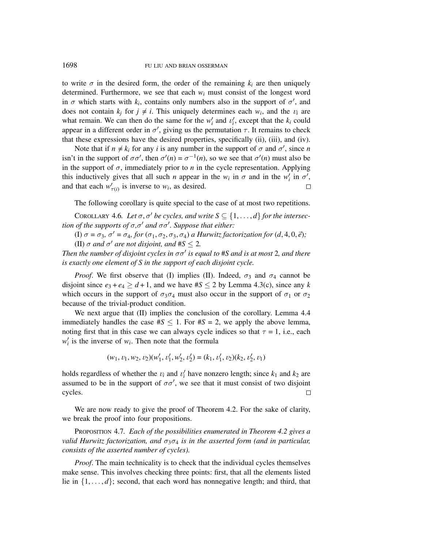to write  $\sigma$  in the desired form, the order of the remaining  $k_i$  are then uniquely determined. Furthermore, we see that each  $w_i$  must consist of the longest word in  $\sigma$  which starts with  $k_i$ , contains only numbers also in the support of  $\sigma'$ , and does not contain  $k_i$  for  $j \neq i$ . This uniquely determines each  $w_i$ , and the  $v_i$  are what remain. We can then do the same for the  $w_i'$  and  $v_i'$ , except that the  $k_i$  could appear in a different order in  $\sigma'$ , giving us the permutation  $\tau$ . It remains to check that these expressions have the desired properties, specifically (ii), (iii), and (iv).

Note that if  $n \neq k_i$  for any *i* is any number in the support of  $\sigma$  and  $\sigma'$ , since *n* isn't in the support of  $\sigma\sigma'$ , then  $\sigma'(n) = \sigma^{-1}(n)$ , so we see that  $\sigma'(n)$  must also be in the support of  $\sigma$ , immediately prior to *n* in the cycle representation. Applying this inductively gives that all such *n* appear in the  $w_i$  in  $\sigma$  and in the  $w'_i$  in  $\sigma'$ , and that each  $w'_{\tau(i)}$  is inverse to  $w_i$ , as desired.  $\Box$ 

The following corollary is quite special to the case of at most two repetitions.

COROLLARY 4.6. Let  $\sigma$ ,  $\sigma'$  be cycles, and write  $S \subseteq \{1, \ldots, d\}$  for the intersec*tion of the supports of*  $\sigma$ *, σ' and*  $\sigma \sigma'$ *. Suppose that either:* 

(I)  $\sigma = \sigma_3$ ,  $\sigma' = \sigma_4$ , for  $(\sigma_1, \sigma_2, \sigma_3, \sigma_4)$  *a Hurwitz factorization for*  $(d, 4, 0, \vec{e})$ ; (II)  $\sigma$  *and*  $\sigma'$  *are not disjoint, and* # $S \leq 2$ *.* 

*Then the number of disjoint cycles in*  $\sigma \sigma'$  *is equal to* #*S* and *is at most* 2*, and there is exactly one element of S in the support of each disjoint cycle.*

*Proof.* We first observe that (I) implies (II). Indeed,  $\sigma_3$  and  $\sigma_4$  cannot be disjoint since  $e_3 + e_4 \ge d + 1$ , and we have  $\#S \le 2$  by Lemma 4.3(c), since any k which occurs in the support of  $\sigma_3\sigma_4$  must also occur in the support of  $\sigma_1$  or  $\sigma_2$ because of the trivial-product condition.

We next argue that (II) implies the conclusion of the corollary. Lemma 4.4 immediately handles the case  $\#S \leq 1$ . For  $\#S = 2$ , we apply the above lemma, noting first that in this case we can always cycle indices so that  $\tau = 1$ , i.e., each  $w_i'$  is the inverse of  $w_i$ . Then note that the formula

$$
(w_1, v_1, w_2, v_2)(w'_1, v'_1, w'_2, v'_2) = (k_1, v'_1, v_2)(k_2, v'_2, v_1)
$$

holds regardless of whether the  $v_i$  and  $v'_i$  have nonzero length; since  $k_1$  and  $k_2$  are assumed to be in the support of  $\sigma\sigma'$ , we see that it must consist of two disjoint cycles.  $\Box$ 

We are now ready to give the proof of Theorem 4.2. For the sake of clarity, we break the proof into four propositions.

PROPOSITION 4.7*. Each of the possibilities enumerated in Theorem 4.2 gives a valid Hurwitz factorization, and*  $\sigma_3\sigma_4$  *is in the asserted form (and in particular, consists of the asserted number of cycles).*

*Proof.* The main technicality is to check that the individual cycles themselves make sense. This involves checking three points: first, that all the elements listed lie in  $\{1, \ldots, d\}$ ; second, that each word has nonnegative length; and third, that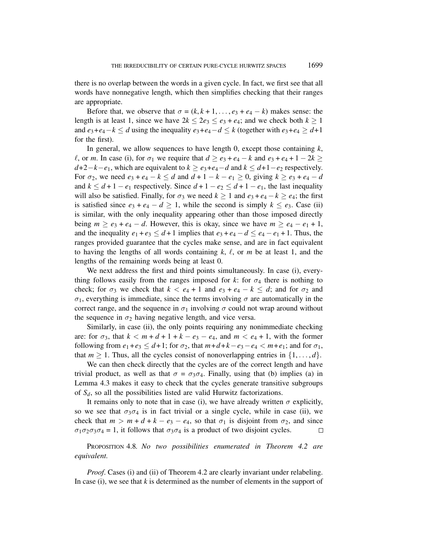there is no overlap between the words in a given cycle. In fact, we first see that all words have nonnegative length, which then simplifies checking that their ranges are appropriate.

Before that, we observe that  $\sigma = (k, k+1, \ldots, e_3 + e_4 - k)$  makes sense: the length is at least 1, since we have  $2k \le 2e_3 \le e_3 + e_4$ ; and we check both  $k \ge 1$ and  $e_3 + e_4 - k \le d$  using the inequality  $e_3 + e_4 - d \le k$  (together with  $e_3 + e_4 \ge d+1$ for the first).

In general, we allow sequences to have length 0, except those containing *k*, l, or *m*. In case (i), for  $\sigma_1$  we require that  $d \ge e_3 + e_4 - k$  and  $e_3 + e_4 + 1 - 2k \ge$  $d+2-k-e_1$ , which are equivalent to  $k \ge e_3+e_4-d$  and  $k \le d+1-e_2$  respectively. For  $\sigma_2$ , we need  $e_3 + e_4 - k \le d$  and  $d + 1 - k - e_1 \ge 0$ , giving  $k \ge e_3 + e_4 - d$ and  $k \leq d+1-e_1$  respectively. Since  $d+1-e_2 \leq d+1-e_1$ , the last inequality will also be satisfied. Finally, for  $\sigma_3$  we need  $k \ge 1$  and  $e_3 + e_4 - k \ge e_4$ ; the first is satisfied since  $e_3 + e_4 - d \ge 1$ , while the second is simply  $k \le e_3$ . Case (ii) is similar, with the only inequality appearing other than those imposed directly being  $m \ge e_3 + e_4 - d$ . However, this is okay, since we have  $m \ge e_4 - e_1 + 1$ , and the inequality  $e_1 + e_3 \leq d + 1$  implies that  $e_3 + e_4 - d \leq e_4 - e_1 + 1$ . Thus, the ranges provided guarantee that the cycles make sense, and are in fact equivalent to having the lengths of all words containing  $k$ ,  $\ell$ , or  $m$  be at least 1, and the lengths of the remaining words being at least 0.

We next address the first and third points simultaneously. In case (i), everything follows easily from the ranges imposed for  $k$ : for  $\sigma_4$  there is nothing to check; for  $\sigma_3$  we check that  $k < e_4 + 1$  and  $e_3 + e_4 - k \le d$ ; and for  $\sigma_2$  and σ<sub>1</sub>, everything is immediate, since the terms involving σ are automatically in the correct range, and the sequence in  $\sigma_1$  involving  $\sigma$  could not wrap around without the sequence in  $\sigma_2$  having negative length, and vice versa.

Similarly, in case (ii), the only points requiring any nonimmediate checking are: for  $\sigma_3$ , that  $k < m + d + 1 + k - e_3 - e_4$ , and  $m < e_4 + 1$ , with the former following from  $e_1 + e_3 \leq d + 1$ ; for  $\sigma_2$ , that  $m + d + k - e_3 - e_4 < m + e_1$ ; and for  $\sigma_1$ , that  $m > 1$ . Thus, all the cycles consist of nonoverlapping entries in  $\{1, \ldots, d\}$ .

We can then check directly that the cycles are of the correct length and have trivial product, as well as that  $\sigma = \sigma_3 \sigma_4$ . Finally, using that (b) implies (a) in Lemma 4.3 makes it easy to check that the cycles generate transitive subgroups of  $S_d$ , so all the possibilities listed are valid Hurwitz factorizations.

It remains only to note that in case (i), we have already written  $\sigma$  explicitly, so we see that  $\sigma_3\sigma_4$  is in fact trivial or a single cycle, while in case (ii), we check that  $m > m + d + k - e_3 - e_4$ , so that  $\sigma_1$  is disjoint from  $\sigma_2$ , and since  $\sigma_1 \sigma_2 \sigma_3 \sigma_4 = 1$ , it follows that  $\sigma_3 \sigma_4$  is a product of two disjoint cycles.  $\Box$ 

PROPOSITION 4.8*. No two possibilities enumerated in Theorem 4.2 are equivalent.*

*Proof.* Cases (i) and (ii) of Theorem 4.2 are clearly invariant under relabeling. In case (i), we see that *k* is determined as the number of elements in the support of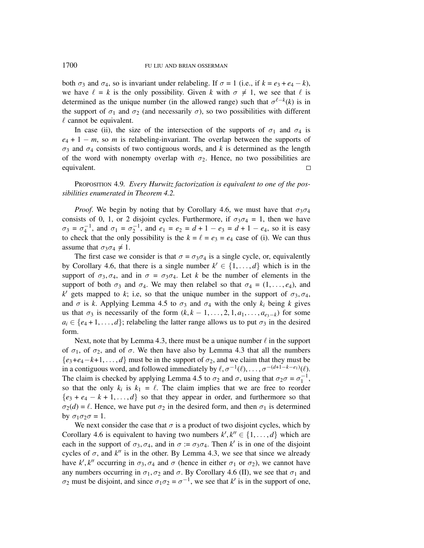both  $\sigma_3$  and  $\sigma_4$ , so is invariant under relabeling. If  $\sigma = 1$  (i.e., if  $k = e_3 + e_4 - k$ ), we have  $\ell = k$  is the only possibility. Given k with  $\sigma \neq 1$ , we see that  $\ell$  is determined as the unique number (in the allowed range) such that  $\sigma^{\ell-k}(k)$  is in the support of  $\sigma_1$  and  $\sigma_2$  (and necessarily  $\sigma$ ), so two possibilities with different  $\ell$  cannot be equivalent.

In case (ii), the size of the intersection of the supports of  $\sigma_1$  and  $\sigma_4$  is  $e_4 + 1 - m$ , so *m* is relabeling-invariant. The overlap between the supports of σ<sup>3</sup> and σ<sup>4</sup> consists of two contiguous words, and *k* is determined as the length of the word with nonempty overlap with  $\sigma_2$ . Hence, no two possibilities are equivalent.  $\Box$ 

PROPOSITION 4.9*. Every Hurwitz factorization is equivalent to one of the possibilities enumerated in Theorem 4.2.*

*Proof.* We begin by noting that by Corollary 4.6, we must have that  $\sigma_3\sigma_4$ consists of 0, 1, or 2 disjoint cycles. Furthermore, if  $\sigma_3\sigma_4 = 1$ , then we have  $\sigma_3 = \sigma_4^{-1}$ , and  $\sigma_1 = \sigma_2^{-1}$ , and  $e_1 = e_2 = d + 1 - e_3 = d + 1 - e_4$ , so it is easy to check that the only possibility is the  $k = \ell = e_3 = e_4$  case of (i). We can thus assume that  $\sigma_3 \sigma_4 \neq 1$ .

The first case we consider is that  $\sigma = \sigma_3 \sigma_4$  is a single cycle, or, equivalently by Corollary 4.6, that there is a single number  $k' \in \{1, \ldots, d\}$  which is in the support of  $\sigma_3$ ,  $\sigma_4$ , and in  $\sigma = \sigma_3 \sigma_4$ . Let *k* be the number of elements in the support of both  $\sigma_3$  and  $\sigma_4$ . We may then relabel so that  $\sigma_4 = (1, \ldots, e_4)$ , and *k'* gets mapped to *k*; i.e, so that the unique number in the support of  $\sigma_3$ ,  $\sigma_4$ , and  $\sigma$  is *k*. Applying Lemma 4.5 to  $\sigma_3$  and  $\sigma_4$  with the only  $k_i$  being *k* gives us that  $\sigma_3$  is necessarily of the form  $(k, k - 1, \ldots, 2, 1, a_1, \ldots, a_{e_3-k})$  for some  $a_i \in \{e_4 + 1, \ldots, d\}$ ; relabeling the latter range allows us to put  $\sigma_3$  in the desired form.

Next, note that by Lemma 4.3, there must be a unique number  $\ell$  in the support of  $\sigma_1$ , of  $\sigma_2$ , and of  $\sigma$ . We then have also by Lemma 4.3 that all the numbers  ${e_3+e_4-k+1,\ldots,d}$  must be in the support of  $\sigma_2$ , and we claim that they must be in a contiguous word, and followed immediately by  $\ell, \sigma^{-1}(\ell), \ldots, \sigma^{-(d+1-k-e_1)}(\ell)$ . The claim is checked by applying Lemma 4.5 to  $\sigma_2$  and  $\sigma$ , using that  $\sigma_2 \sigma = \sigma_1^{-1}$ , so that the only  $k_i$  is  $k_1 = \ell$ . The claim implies that we are free to reorder  ${e_3 + e_4 - k + 1, ..., d}$  so that they appear in order, and furthermore so that  $\sigma_2(d) = \ell$ . Hence, we have put  $\sigma_2$  in the desired form, and then  $\sigma_1$  is determined by  $\sigma_1 \sigma_2 \sigma = 1$ .

We next consider the case that  $\sigma$  is a product of two disjoint cycles, which by Corollary 4.6 is equivalent to having two numbers  $k^{\prime}, k^{\prime\prime} \in \{1, ..., d\}$  which are each in the support of  $\sigma_3$ ,  $\sigma_4$ , and in  $\sigma := \sigma_3 \sigma_4$ . Then k' is in one of the disjoint cycles of  $\sigma$ , and  $k''$  is in the other. By Lemma 4.3, we see that since we already have  $k'$ ,  $k''$  occurring in  $\sigma_3$ ,  $\sigma_4$  and  $\sigma$  (hence in either  $\sigma_1$  or  $\sigma_2$ ), we cannot have any numbers occurring in  $\sigma_1$ ,  $\sigma_2$  and  $\sigma$ . By Corollary 4.6 (II), we see that  $\sigma_1$  and σ<sub>2</sub> must be disjoint, and since  $σ_1σ_2 = σ^{-1}$ , we see that *k'* is in the support of one,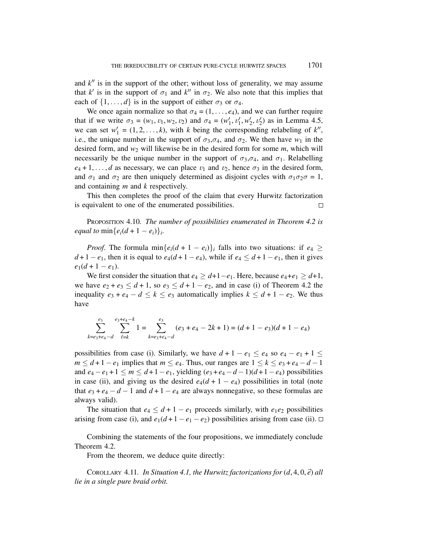and  $k''$  is in the support of the other; without loss of generality, we may assume that  $k'$  is in the support of  $\sigma_1$  and  $k''$  in  $\sigma_2$ . We also note that this implies that each of  $\{1, \ldots, d\}$  is in the support of either  $\sigma_3$  or  $\sigma_4$ .

We once again normalize so that  $\sigma_4 = (1, \ldots, e_4)$ , and we can further require that if we write  $\sigma_3 = (w_1, v_1, w_2, v_2)$  and  $\sigma_4 = (w'_1, v'_1, w'_2, v'_2)$  as in Lemma 4.5, we can set  $w'_1 = (1, 2, \dots, k)$ , with *k* being the corresponding relabeling of  $k''$ , i.e., the unique number in the support of  $\sigma_3$ ,  $\sigma_4$ , and  $\sigma_2$ . We then have  $w_1$  in the desired form, and  $w_2$  will likewise be in the desired form for some *m*, which will necessarily be the unique number in the support of  $\sigma_3$ ,  $\sigma_4$ , and  $\sigma_1$ . Relabelling  $e_4 + 1, \ldots, d$  as necessary, we can place  $v_1$  and  $v_2$ , hence  $\sigma_3$  in the desired form, and  $\sigma_1$  and  $\sigma_2$  are then uniquely determined as disjoint cycles with  $\sigma_1 \sigma_2 \sigma = 1$ , and containing *m* and *k* respectively.

This then completes the proof of the claim that every Hurwitz factorization is equivalent to one of the enumerated possibilities.  $\Box$ 

PROPOSITION 4.10*. The number of possibilities enumerated in Theorem 4.2 is equal to* min ${e_i(d + 1 - e_i)}_i$ .

*Proof.* The formula min ${e_i(d + 1 - e_i)}_i$  falls into two situations: if  $e_4 \ge$  $d+1-e_1$ , then it is equal to  $e_4(d+1-e_4)$ , while if  $e_4 \leq d+1-e_1$ , then it gives  $e_1(d+1-e_1)$ .

We first consider the situation that  $e_4 \geq d+1-e_1$ . Here, because  $e_4+e_1 \geq d+1$ , we have  $e_2 + e_3 \leq d + 1$ , so  $e_3 \leq d + 1 - e_2$ , and in case (i) of Theorem 4.2 the inequality  $e_3 + e_4 - d \leq k \leq e_3$  automatically implies  $k \leq d+1-e_2$ . We thus have

$$
\sum_{k=e_3+e_4-d}^{e_3+e_4-k} \sum_{\ell=k}^{e_3+e_4-k} 1 = \sum_{k=e_3+e_4-d}^{e_3} (e_3+e_4-2k+1) = (d+1-e_3)(d+1-e_4)
$$

possibilities from case (i). Similarly, we have  $d+1-e_1 \le e_4$  so  $e_4-e_1+1 \le$  $m \leq d+1-e_1$  implies that  $m \leq e_4$ . Thus, our ranges are  $1 \leq k \leq e_3+e_4-d-1$ and  $e_4 - e_1 + 1 \le m \le d + 1 - e_1$ , yielding  $(e_3 + e_4 - d - 1)(d + 1 - e_4)$  possibilities in case (ii), and giving us the desired  $e_4(d + 1 - e_4)$  possibilities in total (note that  $e_3 + e_4 - d - 1$  and  $d + 1 - e_4$  are always nonnegative, so these formulas are always valid).

The situation that  $e_4 \leq d + 1 - e_1$  proceeds similarly, with  $e_1e_2$  possibilities arising from case (i), and  $e_1(d+1-e_1-e_2)$  possibilities arising from case (ii). □

Combining the statements of the four propositions, we immediately conclude Theorem 4.2.

From the theorem, we deduce quite directly:

COROLLARY 4.11*. In Situation 4.1, the Hurwitz factorizations for* (*d*, 4, 0,*e*) *all lie in a single pure braid orbit.*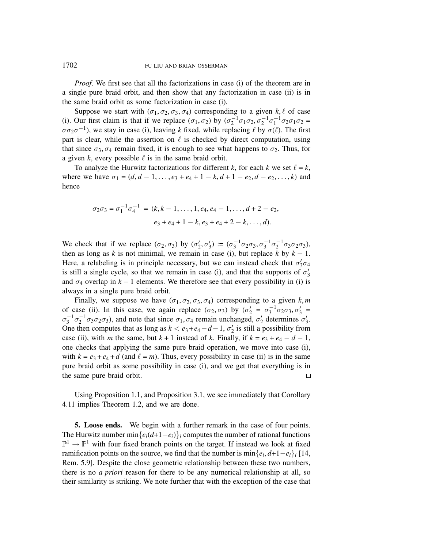*Proof*. We first see that all the factorizations in case (i) of the theorem are in a single pure braid orbit, and then show that any factorization in case (ii) is in the same braid orbit as some factorization in case (i).

Suppose we start with  $(\sigma_1, \sigma_2, \sigma_3, \sigma_4)$  corresponding to a given  $k, \ell$  of case (i). Our first claim is that if we replace  $(\sigma_1, \sigma_2)$  by  $(\sigma_2^{-1}\sigma_1\sigma_2, \sigma_2^{-1}\sigma_1^{-1}\sigma_2\sigma_1\sigma_2 =$  $\sigma \sigma_2 \sigma^{-1}$ ), we stay in case (i), leaving *k* fixed, while replacing  $\ell$  by  $\sigma(\ell)$ . The first part is clear, while the assertion on  $\ell$  is checked by direct computation, using that since  $\sigma_3$ ,  $\sigma_4$  remain fixed, it is enough to see what happens to  $\sigma_2$ . Thus, for a given *k*, every possible  $\ell$  is in the same braid orbit.

To analyze the Hurwitz factorizations for different *k*, for each *k* we set  $\ell = k$ , where we have  $\sigma_1 = (d, d - 1, \ldots, e_3 + e_4 + 1 - k, d + 1 - e_2, d - e_2, \ldots, k)$  and hence

$$
\sigma_2 \sigma_3 = \sigma_1^{-1} \sigma_4^{-1} = (k, k - 1, \dots, 1, e_4, e_4 - 1, \dots, d + 2 - e_2,
$$
  

$$
e_3 + e_4 + 1 - k, e_3 + e_4 + 2 - k, \dots, d).
$$

We check that if we replace  $(\sigma_2, \sigma_3)$  by  $(\sigma'_2, \sigma'_3) := (\sigma_3^{-1}\sigma_2\sigma_3, \sigma_3^{-1}\sigma_2^{-1}\sigma_3\sigma_2\sigma_3)$ , then as long as *k* is not minimal, we remain in case (i), but replace *k* by  $k - 1$ . Here, a relabeling is in principle necessary, but we can instead check that  $\sigma'_3 \sigma_4$ is still a single cycle, so that we remain in case (i), and that the supports of  $\sigma'_{3}$ and  $\sigma_4$  overlap in  $k - 1$  elements. We therefore see that every possibility in (i) is always in a single pure braid orbit.

Finally, we suppose we have  $(\sigma_1, \sigma_2, \sigma_3, \sigma_4)$  corresponding to a given *k*, *m* of case (ii). In this case, we again replace  $(\sigma_2, \sigma_3)$  by  $(\sigma'_2 = \sigma_3^{-1} \sigma_2 \sigma_3, \sigma'_3 =$  $\sigma_3^{-1}\sigma_2^{-1}\sigma_3\sigma_2\sigma_3$ ), and note that since  $\sigma_1$ ,  $\sigma_4$  remain unchanged,  $\sigma_2'$  determines  $\sigma_3'$ . One then computes that as long as  $k < e_3 + e_4 - d - 1$ ,  $\sigma'_2$  is still a possibility from case (ii), with *m* the same, but  $k + 1$  instead of *k*. Finally, if  $k = e_3 + e_4 - d - 1$ , one checks that applying the same pure braid operation, we move into case (i), with  $k = e_3 + e_4 + d$  (and  $\ell = m$ ). Thus, every possibility in case (ii) is in the same pure braid orbit as some possibility in case (i), and we get that everything is in the same pure braid orbit.  $\Box$ 

Using Proposition 1.1, and Proposition 3.1, we see immediately that Corollary 4.11 implies Theorem 1.2, and we are done.

**5. Loose ends.** We begin with a further remark in the case of four points. The Hurwitz number  $\min\{e_i(d+1-e_i)\}\$ i computes the number of rational functions  $\mathbb{P}^1 \to \mathbb{P}^1$  with four fixed branch points on the target. If instead we look at fixed ramification points on the source, we find that the number is  $\min\{e_i, d+1-e_i\}$ *i* [14, Rem. 5.9]. Despite the close geometric relationship between these two numbers, there is no *a priori* reason for there to be any numerical relationship at all, so their similarity is striking. We note further that with the exception of the case that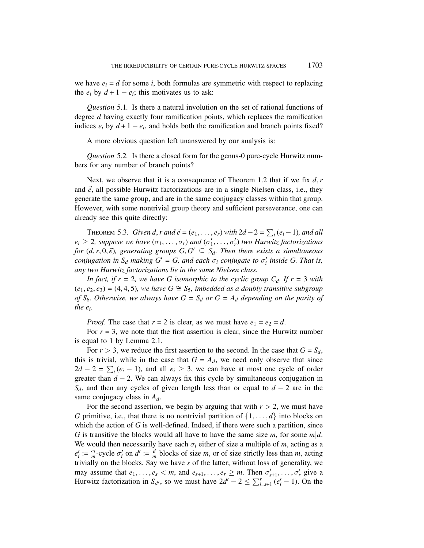we have  $e_i = d$  for some *i*, both formulas are symmetric with respect to replacing the  $e_i$  by  $d + 1 - e_i$ ; this motivates us to ask:

*Question* 5.1*.* Is there a natural involution on the set of rational functions of degree *d* having exactly four ramification points, which replaces the ramification indices  $e_i$  by  $d+1-e_i$ , and holds both the ramification and branch points fixed?

A more obvious question left unanswered by our analysis is:

*Question* 5.2*.* Is there a closed form for the genus-0 pure-cycle Hurwitz numbers for any number of branch points?

Next, we observe that it is a consequence of Theorem 1.2 that if we fix *d*,*r* and  $\vec{e}$ , all possible Hurwitz factorizations are in a single Nielsen class, i.e., they generate the same group, and are in the same conjugacy classes within that group. However, with some nontrivial group theory and sufficient perseverance, one can already see this quite directly:

THEOREM 5.3. *Given d, r and*  $\vec{e} = (e_1, \ldots, e_r)$  *with*  $2d - 2 = \sum_i (e_i - 1)$ *, and all*  $e_i \geq 2$ , suppose we have  $(\sigma_1, \ldots, \sigma_r)$  and  $(\sigma'_1, \ldots, \sigma'_r)$  two Hurwitz factorizations *for*  $(d, r, 0, \vec{e})$ *, generating groups*  $G, G' \subseteq S_d$ *. Then there exists a simultaneous conjugation in*  $S_d$  *making*  $G' = G$ *, and each*  $\sigma_i$  *conjugate to*  $\sigma'_i$  *inside* G. That *is*, *any two Hurwitz factorizations lie in the same Nielsen class.*

*In fact, if*  $r = 2$ *, we have G isomorphic to the cyclic group*  $C_d$ *. If*  $r = 3$  *with*  $(e_1, e_2, e_3) = (4, 4, 5)$ *, we have*  $G \cong S_5$ *, imbedded as a doubly transitive subgroup of*  $S_6$ *. Otherwise, we always have*  $G = S_d$  *or*  $G = A_d$  *depending on the parity of the ei.*

*Proof.* The case that  $r = 2$  is clear, as we must have  $e_1 = e_2 = d$ .

For  $r = 3$ , we note that the first assertion is clear, since the Hurwitz number is equal to 1 by Lemma 2.1.

For  $r > 3$ , we reduce the first assertion to the second. In the case that  $G = S_d$ , this is trivial, while in the case that  $G = A_d$ , we need only observe that since  $2d - 2 = \sum_i (e_i - 1)$ , and all  $e_i \geq 3$ , we can have at most one cycle of order greater than  $d - 2$ . We can always fix this cycle by simultaneous conjugation in *S<sub>d</sub>*, and then any cycles of given length less than or equal to  $d − 2$  are in the same conjugacy class in *Ad*.

For the second assertion, we begin by arguing that with  $r > 2$ , we must have *G* primitive, i.e., that there is no nontrivial partition of  $\{1, \ldots, d\}$  into blocks on which the action of *G* is well-defined. Indeed, if there were such a partition, since *G* is transitive the blocks would all have to have the same size *m*, for some *m*|*d*. We would then necessarily have each  $\sigma_i$  either of size a multiple of *m*, acting as a  $e'_i := \frac{e_i}{m}$ -cycle  $\sigma'_i$  on  $d' := \frac{d}{m}$  blocks of size *m*, or of size strictly less than *m*, acting trivially on the blocks. Say we have *s* of the latter; without loss of generality, we may assume that  $e_1, \ldots, e_s < m$ , and  $e_{s+1}, \ldots, e_r \ge m$ . Then  $\sigma'_{s+1}, \ldots, \sigma'_{r}$  give a Hurwitz factorization in  $S_{d'}$ , so we must have  $2d' - 2 \le \sum_{i=s+1}^{r} (e_i' - 1)$ . On the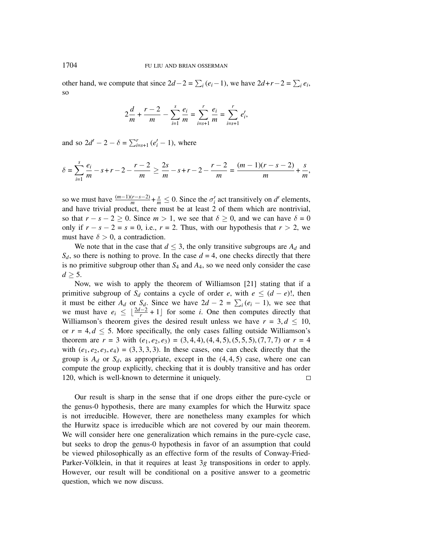other hand, we compute that since  $2d-2 = \sum_i (e_i-1)$ , we have  $2d+r-2 = \sum_i e_i$ , so

$$
2\frac{d}{m} + \frac{r-2}{m} - \sum_{i=1}^{s} \frac{e_i}{m} = \sum_{i=s+1}^{r} \frac{e_i}{m} = \sum_{i=s+1}^{r} e'_i,
$$

and so  $2d' - 2 - \delta = \sum_{i=s+1}^{r} (e'_i - 1)$ , where

$$
\delta = \sum_{i=1}^{s} \frac{e_i}{m} - s + r - 2 - \frac{r-2}{m} \ge \frac{2s}{m} - s + r - 2 - \frac{r-2}{m} = \frac{(m-1)(r-s-2)}{m} + \frac{s}{m},
$$

so we must have  $\frac{(m-1)(r-s-2)}{m} + \frac{s}{m} \le 0$ . Since the  $\sigma_i'$  act transitively on  $d'$  elements, and have trivial product, there must be at least 2 of them which are nontrivial, so that  $r - s - 2 > 0$ . Since  $m > 1$ , we see that  $\delta > 0$ , and we can have  $\delta = 0$ only if  $r - s - 2 = s = 0$ , i.e.,  $r = 2$ . Thus, with our hypothesis that  $r > 2$ , we must have  $\delta > 0$ , a contradiction.

We note that in the case that  $d \leq 3$ , the only transitive subgroups are  $A_d$  and  $S_d$ , so there is nothing to prove. In the case  $d = 4$ , one checks directly that there is no primitive subgroup other than *S*<sup>4</sup> and *A*4, so we need only consider the case  $d > 5$ .

Now, we wish to apply the theorem of Williamson [21] stating that if a primitive subgroup of  $S_d$  contains a cycle of order *e*, with  $e \leq (d - e)!$ , then it must be either  $A_d$  or  $S_d$ . Since we have  $2d - 2 = \sum_i (e_i - 1)$ , we see that we must have  $e_i \leq \lfloor \frac{2d-2}{r} + 1 \rfloor$  for some *i*. One then computes directly that Williamson's theorem gives the desired result unless we have  $r = 3, d \le 10$ , or  $r = 4$ ,  $d \le 5$ . More specifically, the only cases falling outside Williamson's theorem are  $r = 3$  with  $(e_1, e_2, e_3) = (3, 4, 4), (4, 4, 5), (5, 5, 5), (7, 7, 7)$  or  $r = 4$ with  $(e_1, e_2, e_3, e_4) = (3, 3, 3, 3)$ . In these cases, one can check directly that the group is  $A_d$  or  $S_d$ , as appropriate, except in the  $(4, 4, 5)$  case, where one can compute the group explicitly, checking that it is doubly transitive and has order 120, which is well-known to determine it uniquely.  $\Box$ 

Our result is sharp in the sense that if one drops either the pure-cycle or the genus-0 hypothesis, there are many examples for which the Hurwitz space is not irreducible. However, there are nonetheless many examples for which the Hurwitz space is irreducible which are not covered by our main theorem. We will consider here one generalization which remains in the pure-cycle case, but seeks to drop the genus-0 hypothesis in favor of an assumption that could be viewed philosophically as an effective form of the results of Conway-Fried-Parker-Völklein, in that it requires at least 3*g* transpositions in order to apply. However, our result will be conditional on a positive answer to a geometric question, which we now discuss.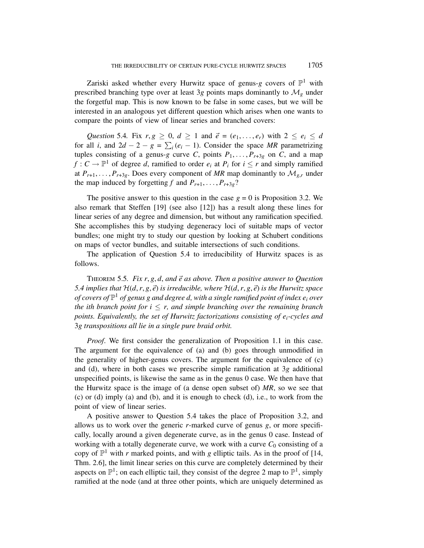Zariski asked whether every Hurwitz space of genus-*g* covers of  $\mathbb{P}^1$  with prescribed branching type over at least 3*g* points maps dominantly to  $\mathcal{M}_g$  under the forgetful map. This is now known to be false in some cases, but we will be interested in an analogous yet different question which arises when one wants to compare the points of view of linear series and branched covers:

*Question* 5.4*.* Fix  $r, g \geq 0, d \geq 1$  and  $\vec{e} = (e_1, \ldots, e_r)$  with  $2 \leq e_i \leq d$ for all *i*, and  $2d - 2 - g = \sum_i (e_i - 1)$ . Consider the space *MR* parametrizing tuples consisting of a genus-*g* curve *C*, points  $P_1, \ldots, P_{r+3g}$  on *C*, and a map  $f: C \to \mathbb{P}^1$  of degree *d*, ramified to order  $e_i$  at  $P_i$  for  $i \leq r$  and simply ramified at  $P_{r+1}, \ldots, P_{r+3g}$ . Does every component of *MR* map dominantly to  $\mathcal{M}_{g,r}$  under the map induced by forgetting *f* and  $P_{r+1}, \ldots, P_{r+3g}$ ?

The positive answer to this question in the case  $g = 0$  is Proposition 3.2. We also remark that Steffen [19] (see also [12]) has a result along these lines for linear series of any degree and dimension, but without any ramification specified. She accomplishes this by studying degeneracy loci of suitable maps of vector bundles; one might try to study our question by looking at Schubert conditions on maps of vector bundles, and suitable intersections of such conditions.

The application of Question 5.4 to irreducibility of Hurwitz spaces is as follows.

THEOREM 5.5*. Fix r*, *g*, *d*, *and e as above. Then a positive answer to Question 5.4 implies that* H(*d*,*r*, *g*,*e*) *is irreducible, where* H(*d*,*r*, *g*,*e*) *is the Hurwitz space of covers of*  $\mathbb{P}^1$  *of genus g and degree d, with a single ramified point of index*  $e_i$  *over the ith branch point for i* ≤ *r, and simple branching over the remaining branch points. Equivalently, the set of Hurwitz factorizations consisting of ei-cycles and* 3*g transpositions all lie in a single pure braid orbit.*

*Proof.* We first consider the generalization of Proposition 1.1 in this case. The argument for the equivalence of (a) and (b) goes through unmodified in the generality of higher-genus covers. The argument for the equivalence of (c) and (d), where in both cases we prescribe simple ramification at 3*g* additional unspecified points, is likewise the same as in the genus 0 case. We then have that the Hurwitz space is the image of (a dense open subset of) *MR*, so we see that (c) or (d) imply (a) and (b), and it is enough to check (d), i.e., to work from the point of view of linear series.

A positive answer to Question 5.4 takes the place of Proposition 3.2, and allows us to work over the generic *r*-marked curve of genus *g*, or more specifically, locally around a given degenerate curve, as in the genus 0 case. Instead of working with a totally degenerate curve, we work with a curve  $C_0$  consisting of a copy of  $\mathbb{P}^1$  with *r* marked points, and with *g* elliptic tails. As in the proof of [14, Thm. 2.6], the limit linear series on this curve are completely determined by their aspects on  $\mathbb{P}^1$ ; on each elliptic tail, they consist of the degree 2 map to  $\mathbb{P}^1$ , simply ramified at the node (and at three other points, which are uniquely determined as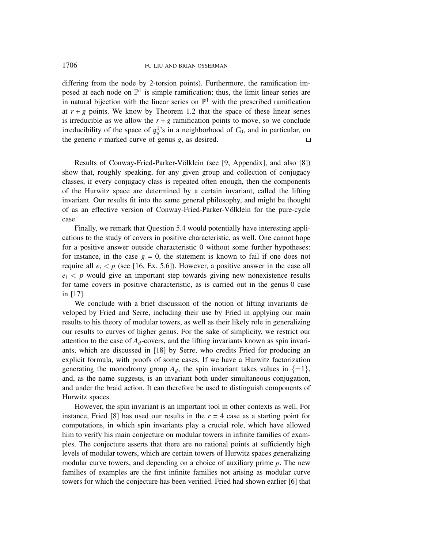differing from the node by 2-torsion points). Furthermore, the ramification imposed at each node on  $\mathbb{P}^1$  is simple ramification; thus, the limit linear series are in natural bijection with the linear series on  $\mathbb{P}^1$  with the prescribed ramification at  $r + g$  points. We know by Theorem 1.2 that the space of these linear series is irreducible as we allow the  $r + g$  ramification points to move, so we conclude irreducibility of the space of  $\mathfrak{g}_d^1$ 's in a neighborhood of  $C_0$ , and in particular, on the generic *r*-marked curve of genus *g*, as desired.  $\Box$ 

Results of Conway-Fried-Parker-Völklein (see [9, Appendix], and also [8]) show that, roughly speaking, for any given group and collection of conjugacy classes, if every conjugacy class is repeated often enough, then the components of the Hurwitz space are determined by a certain invariant, called the lifting invariant. Our results fit into the same general philosophy, and might be thought of as an effective version of Conway-Fried-Parker-Völklein for the pure-cycle case.

Finally, we remark that Question 5.4 would potentially have interesting applications to the study of covers in positive characteristic, as well. One cannot hope for a positive answer outside characteristic 0 without some further hypotheses: for instance, in the case  $g = 0$ , the statement is known to fail if one does not require all  $e_i$  < p (see [16, Ex. 5.6]). However, a positive answer in the case all  $e_i$   $\lt$  *p* would give an important step towards giving new nonexistence results for tame covers in positive characteristic, as is carried out in the genus-0 case in [17].

We conclude with a brief discussion of the notion of lifting invariants developed by Fried and Serre, including their use by Fried in applying our main results to his theory of modular towers, as well as their likely role in generalizing our results to curves of higher genus. For the sake of simplicity, we restrict our attention to the case of  $A_d$ -covers, and the lifting invariants known as spin invariants, which are discussed in [18] by Serre, who credits Fried for producing an explicit formula, with proofs of some cases. If we have a Hurwitz factorization generating the monodromy group  $A_d$ , the spin invariant takes values in  $\{\pm 1\}$ , and, as the name suggests, is an invariant both under simultaneous conjugation, and under the braid action. It can therefore be used to distinguish components of Hurwitz spaces.

However, the spin invariant is an important tool in other contexts as well. For instance, Fried [8] has used our results in the  $r = 4$  case as a starting point for computations, in which spin invariants play a crucial role, which have allowed him to verify his main conjecture on modular towers in infinite families of examples. The conjecture asserts that there are no rational points at sufficiently high levels of modular towers, which are certain towers of Hurwitz spaces generalizing modular curve towers, and depending on a choice of auxiliary prime *p*. The new families of examples are the first infinite families not arising as modular curve towers for which the conjecture has been verified. Fried had shown earlier [6] that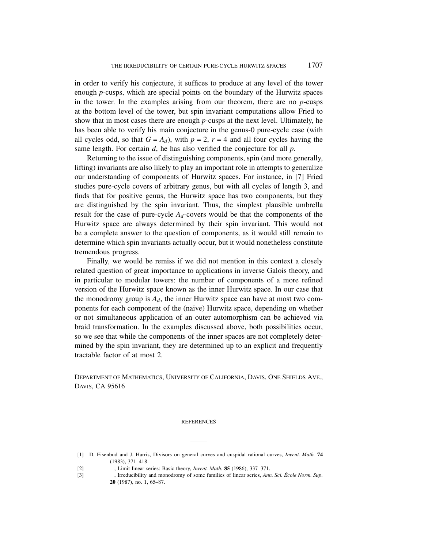in order to verify his conjecture, it suffices to produce at any level of the tower enough *p*-cusps, which are special points on the boundary of the Hurwitz spaces in the tower. In the examples arising from our theorem, there are no *p*-cusps at the bottom level of the tower, but spin invariant computations allow Fried to show that in most cases there are enough *p*-cusps at the next level. Ultimately, he has been able to verify his main conjecture in the genus-0 pure-cycle case (with all cycles odd, so that  $G = A_d$ ), with  $p = 2$ ,  $r = 4$  and all four cycles having the same length. For certain *d*, he has also verified the conjecture for all *p*.

Returning to the issue of distinguishing components, spin (and more generally, lifting) invariants are also likely to play an important role in attempts to generalize our understanding of components of Hurwitz spaces. For instance, in [7] Fried studies pure-cycle covers of arbitrary genus, but with all cycles of length 3, and finds that for positive genus, the Hurwitz space has two components, but they are distinguished by the spin invariant. Thus, the simplest plausible umbrella result for the case of pure-cycle  $A_d$ -covers would be that the components of the Hurwitz space are always determined by their spin invariant. This would not be a complete answer to the question of components, as it would still remain to determine which spin invariants actually occur, but it would nonetheless constitute tremendous progress.

Finally, we would be remiss if we did not mention in this context a closely related question of great importance to applications in inverse Galois theory, and in particular to modular towers: the number of components of a more refined version of the Hurwitz space known as the inner Hurwitz space. In our case that the monodromy group is  $A_d$ , the inner Hurwitz space can have at most two components for each component of the (naive) Hurwitz space, depending on whether or not simultaneous application of an outer automorphism can be achieved via braid transformation. In the examples discussed above, both possibilities occur, so we see that while the components of the inner spaces are not completely determined by the spin invariant, they are determined up to an explicit and frequently tractable factor of at most 2.

DEPARTMENT OF MATHEMATICS, UNIVERSITY OF CALIFORNIA, DAVIS, ONE SHIELDS AVE., DAVIS, CA 95616

## **REFERENCES**

- [2] , Limit linear series: Basic theory, *Invent. Math.* **85** (1986), 337–371.
- [3] , Irreducibility and monodromy of some families of linear series, *Ann. Sci. École Norm. Sup.* **20** (1987), no. 1, 65–87.

<sup>[1]</sup> D. Eisenbud and J. Harris, Divisors on general curves and cuspidal rational curves, *Invent. Math.* **74** (1983), 371–418.